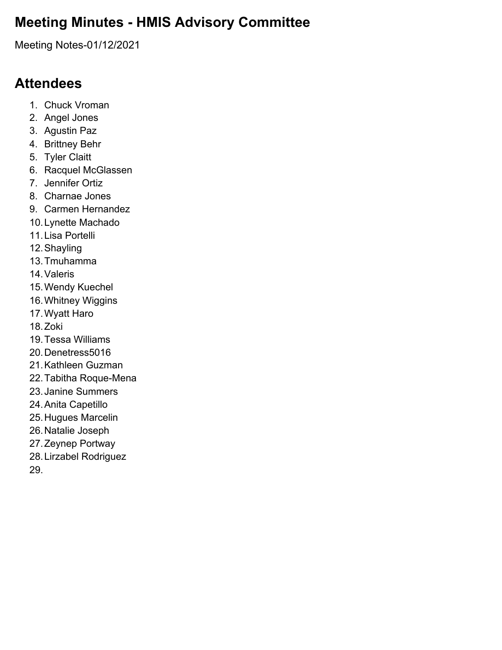### **Meeting Minutes - HMIS Advisory Committee**

Meeting Notes-01/12/2021

#### **Attendees**

- 1. Chuck Vroman
- 2. Angel Jones
- 3. Agustin Paz
- 4. Brittney Behr
- 5. Tyler Claitt
- 6. Racquel McGlassen
- 7. Jennifer Ortiz
- 8. Charnae Jones
- 9. Carmen Hernandez
- 10.Lynette Machado
- 11.Lisa Portelli
- 12.Shayling
- 13.Tmuhamma
- 14.Valeris
- 15.Wendy Kuechel
- 16.Whitney Wiggins
- 17.Wyatt Haro
- 18.Zoki
- 19.Tessa Williams
- 20.Denetress5016
- 21.Kathleen Guzman
- 22.Tabitha Roque-Mena
- 23.Janine Summers
- 24.Anita Capetillo
- 25.Hugues Marcelin
- 26.Natalie Joseph
- 27.Zeynep Portway
- 28.Lirzabel Rodriguez
- 29.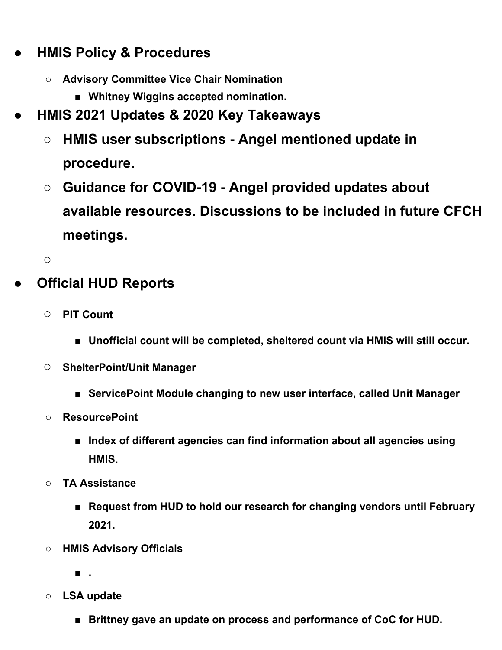# **● HMIS Policy & Procedures**

- **○ Advisory Committee Vice Chair Nomination**
	- **■ Whitney Wiggins accepted nomination.**
- **● HMIS 2021 Updates & 2020 Key Takeaways**
	- **○ HMIS user subscriptions - Angel mentioned update in procedure.**
	- **○ Guidance for COVID-19 - Angel provided updates about available resources. Discussions to be included in future CFCH meetings.**

**○**

## **● Official HUD Reports**

- **○ PIT Count**
	- **■ Unofficial count will be completed, sheltered count via HMIS will still occur.**
- **○ ShelterPoint/Unit Manager**
	- **■ ServicePoint Module changing to new user interface, called Unit Manager**
- **○ ResourcePoint**
	- **■ Index of different agencies can find information about all agencies using HMIS.**
- **○ TA Assistance**
	- **■ Request from HUD to hold our research for changing vendors until February 2021.**
- **○ HMIS Advisory Officials**

**■ .**

- **○ LSA update**
	- **■ Brittney gave an update on process and performance of CoC for HUD.**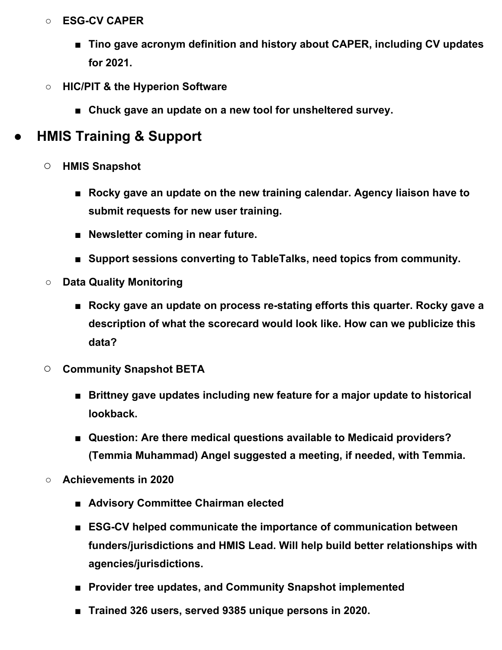#### **○ ESG-CV CAPER**

- **■ Tino gave acronym definition and history about CAPER, including CV updates for 2021.**
- **○ HIC/PIT & the Hyperion Software**
	- **■ Chuck gave an update on a new tool for unsheltered survey.**

# **● HMIS Training & Support**

- **○ HMIS Snapshot**
	- **■ Rocky gave an update on the new training calendar. Agency liaison have to submit requests for new user training.**
	- **■ Newsletter coming in near future.**
	- **■ Support sessions converting to TableTalks, need topics from community.**
- **○ Data Quality Monitoring**
	- **■ Rocky gave an update on process re-stating efforts this quarter. Rocky gave a description of what the scorecard would look like. How can we publicize this data?**
- **○ Community Snapshot BETA**
	- **■ Brittney gave updates including new feature for a major update to historical lookback.**
	- **■ Question: Are there medical questions available to Medicaid providers? (Temmia Muhammad) Angel suggested a meeting, if needed, with Temmia.**
- **○ Achievements in 2020**
	- **■ Advisory Committee Chairman elected**
	- **■ ESG-CV helped communicate the importance of communication between funders/jurisdictions and HMIS Lead. Will help build better relationships with agencies/jurisdictions.**
	- **■ Provider tree updates, and Community Snapshot implemented**
	- **■ Trained 326 users, served 9385 unique persons in 2020.**